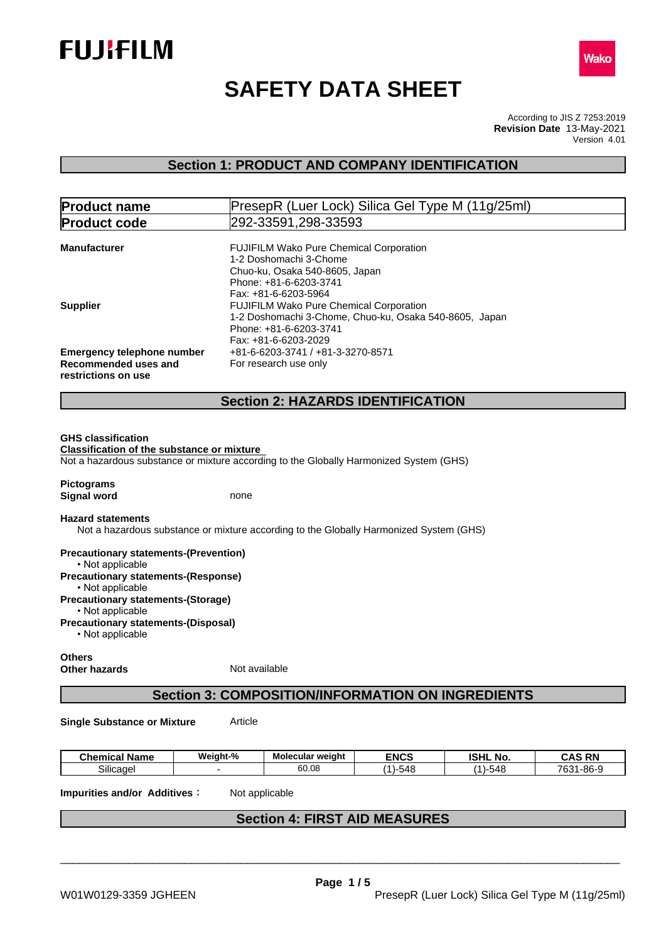



# **SAFETY DATA SHEET**

According to JIS Z 7253:2019 Version 4.01 **Revision Date** 13-May-2021

# **Section 1: PRODUCT AND COMPANY IDENTIFICATION**

| <b>Product name</b>                               | PresepR (Luer Lock) Silica Gel Type M (11g/25ml)                                       |  |
|---------------------------------------------------|----------------------------------------------------------------------------------------|--|
| <b>Product code</b>                               | 292-33591,298-33593                                                                    |  |
|                                                   |                                                                                        |  |
| <b>Manufacturer</b>                               | <b>FUJIFILM Wako Pure Chemical Corporation</b>                                         |  |
|                                                   | 1-2 Doshomachi 3-Chome                                                                 |  |
|                                                   | Chuo-ku, Osaka 540-8605, Japan                                                         |  |
|                                                   | Phone: +81-6-6203-3741                                                                 |  |
|                                                   | Fax: +81-6-6203-5964                                                                   |  |
| <b>Supplier</b>                                   | <b>FUJIFILM Wako Pure Chemical Corporation</b>                                         |  |
|                                                   | 1-2 Doshomachi 3-Chome, Chuo-ku, Osaka 540-8605, Japan                                 |  |
|                                                   | Phone: +81-6-6203-3741                                                                 |  |
|                                                   | Fax: +81-6-6203-2029                                                                   |  |
| <b>Emergency telephone number</b>                 | +81-6-6203-3741 / +81-3-3270-8571                                                      |  |
| Recommended uses and                              | For research use only                                                                  |  |
| restrictions on use                               |                                                                                        |  |
|                                                   |                                                                                        |  |
|                                                   | <b>Section 2: HAZARDS IDENTIFICATION</b>                                               |  |
|                                                   |                                                                                        |  |
| <b>GHS classification</b>                         |                                                                                        |  |
|                                                   |                                                                                        |  |
| <b>Classification of the substance or mixture</b> | Not a hazardous substance or mixture according to the Globally Harmonized System (GHS) |  |
|                                                   |                                                                                        |  |
| <b>Pictograms</b>                                 |                                                                                        |  |
| <b>Signal word</b>                                | none                                                                                   |  |
|                                                   |                                                                                        |  |
| <b>Hazard statements</b>                          |                                                                                        |  |
|                                                   | Not a hazardous substance or mixture according to the Globally Harmonized System (GHS) |  |
|                                                   |                                                                                        |  |
| <b>Precautionary statements-(Prevention)</b>      |                                                                                        |  |
| • Not applicable                                  |                                                                                        |  |
| <b>Precautionary statements-(Response)</b>        |                                                                                        |  |
| • Not applicable                                  |                                                                                        |  |

**Precautionary statements-(Storage)**

• Not applicable

**Precautionary statements-(Disposal)**

 $\cdot$  Not applicable

**Others Other hazards** Not available

# **Section 3: COMPOSITION/INFORMATION ON INGREDIENTS**

**Single Substance or Mixture** Article

| - -<br><b>Chemical Name</b> | Weiaht-% | Molecular weight | <b>ENCS</b>      | וניסו<br>$ -$<br>. NO<br>וחסו    | <b>CAS DN</b><br>uno<br>-181 |
|-----------------------------|----------|------------------|------------------|----------------------------------|------------------------------|
| $\sim \cdots$<br>Silicaɑel  |          | $\sim$<br>uu.uu  | $-$<br>.<br>·548 | $\overline{\phantom{a}}$<br>.548 | 700<br>- 86-9، ر<br>uu       |

**Impurities and/or Additives:** Not applicable

# **Section 4: FIRST AID MEASURES**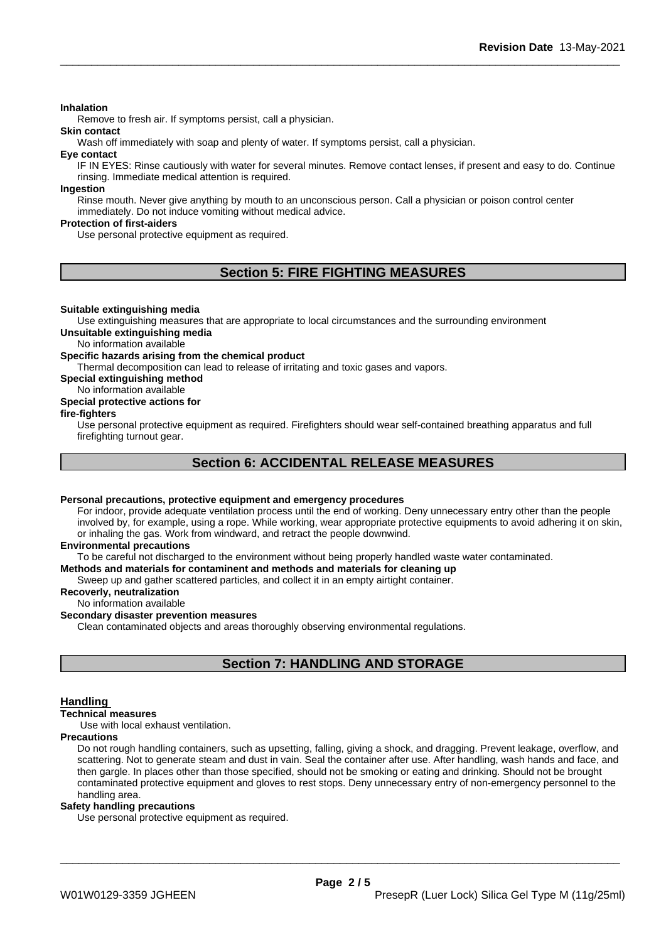## **Inhalation**

Remove to fresh air. If symptoms persist, call a physician.

**Skin contact**

Wash off immediately with soap and plenty of water. If symptoms persist, call a physician.

**Eye contact**

IF IN EYES: Rinse cautiously with water for several minutes. Remove contact lenses, if present and easy to do. Continue rinsing. Immediate medical attention is required.

**Ingestion**

Rinse mouth. Never give anything by mouth to an unconscious person. Call a physician or poison control center immediately. Do not induce vomiting without medical advice.

## **Protection of first-aiders**

Use personal protective equipment as required.

# **Section 5: FIRE FIGHTING MEASURES**

## **Suitable extinguishing media**

Use extinguishing measures that are appropriate to local circumstances and the surrounding environment **Unsuitable extinguishing media**

## No information available

**Specific hazards arising from the chemical product**

Thermal decomposition can lead to release of irritating and toxic gases and vapors.

## **Special extinguishing method**

## No information available

## **Special protective actions for**

## **fire-fighters**

Use personal protective equipment as required.Firefighters should wear self-contained breathing apparatus and full firefighting turnout gear.

# **Section 6: ACCIDENTAL RELEASE MEASURES**

## **Personal precautions, protective equipment and emergency procedures**

For indoor, provide adequate ventilation process until the end of working. Deny unnecessary entry other than the people involved by, for example, using a rope. While working, wear appropriate protective equipments to avoid adhering it on skin, or inhaling the gas. Work from windward, and retract the people downwind.

### **Environmental precautions**

To be careful not discharged to the environment without being properly handled waste water contaminated.

# **Methods and materials for contaminent and methods and materials for cleaning up**

Sweep up and gather scattered particles, and collect it in an empty airtight container.

**Recoverly, neutralization** No information available

# **Secondary disaster prevention measures**

Clean contaminated objects and areas thoroughly observing environmental regulations.

# **Section 7: HANDLING AND STORAGE**

## **Handling**

## **Technical measures**

Use with local exhaust ventilation.

### **Precautions**

Do not rough handling containers, such as upsetting, falling, giving a shock, and dragging. Prevent leakage, overflow, and scattering. Not to generate steam and dust in vain. Seal the container after use. After handling, wash hands and face, and then gargle. In places other than those specified, should not be smoking or eating and drinking. Should not be brought contaminated protective equipment and gloves to rest stops. Deny unnecessary entry of non-emergency personnel to the handling area.

## **Safety handling precautions**

Use personal protective equipment as required.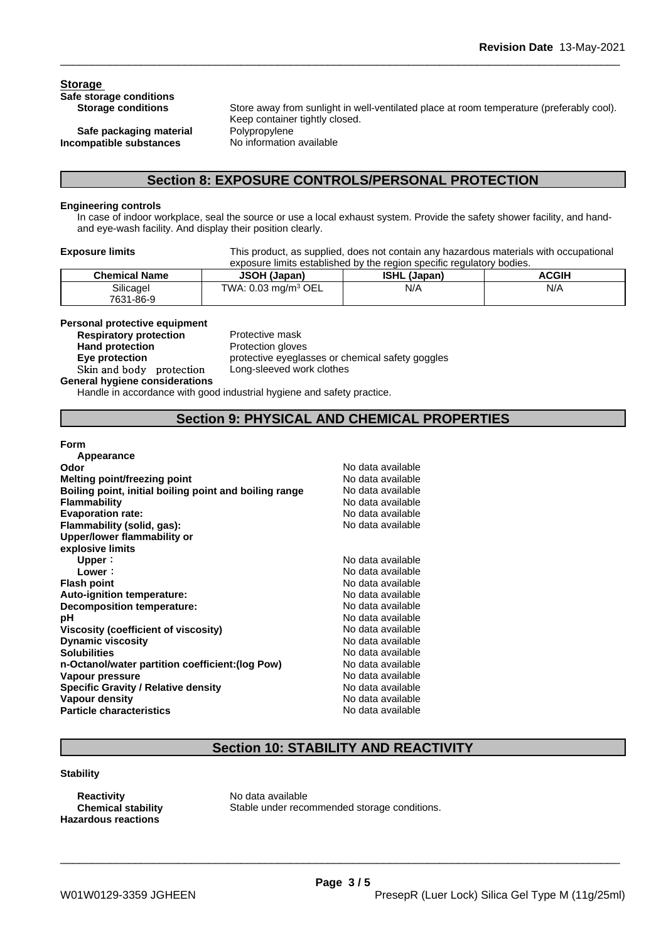# **Storage Safe storage conditions**

**Safe packaging material** Polypropylene<br>**Safe paraging parameters** No information available **Incompatible** substances

Store away from sunlight in well-ventilated place at room temperature (preferably cool). Keep container tightly closed.

# **Section 8: EXPOSURE CONTROLS/PERSONAL PROTECTION**

## **Engineering controls**

In case of indoor workplace, seal the source or use a local exhaust system. Provide the safety shower facility, and handand eye-wash facility. And display their position clearly.

**Exposure limits** This product, as supplied, does not contain any hazardous materials with occupational exposure limits established by the region specific regulatory bodies.

| <b>Chemical Name</b> | <b>JSOH (Japan)</b>                    | <b>ISHL</b><br>(Japan) | <b>ACGIF</b> |
|----------------------|----------------------------------------|------------------------|--------------|
| Silicagel            | TWA: $0.03 \text{ mg/m}^3 \text{ OEL}$ | N/A                    | N/A          |
| 7631-86-9            |                                        |                        |              |

# **Personal protective equipment**

**Respiratory protection Hand protection** Protection gloves

**Eye protection** protective eyeglasses or chemical safety goggles **Skinandbody protection** Long-sleeved work clothes

**General hygiene considerations** Handle in accordance with good industrial hygiene and safety practice.

# **Section 9: PHYSICAL AND CHEMICAL PROPERTIES**

## **Form**

| Appearance                                             |                   |  |
|--------------------------------------------------------|-------------------|--|
| Odor                                                   | No data available |  |
| Melting point/freezing point                           | No data available |  |
| Boiling point, initial boiling point and boiling range | No data available |  |
| <b>Flammability</b>                                    | No data available |  |
| <b>Evaporation rate:</b>                               | No data available |  |
| Flammability (solid, gas):                             | No data available |  |
| Upper/lower flammability or                            |                   |  |
| explosive limits                                       |                   |  |
| Upper:                                                 | No data available |  |
| Lower:                                                 | No data available |  |
| <b>Flash point</b>                                     | No data available |  |
| Auto-ignition temperature:                             | No data available |  |
| Decomposition temperature:                             | No data available |  |
| рH                                                     | No data available |  |
| Viscosity (coefficient of viscosity)                   | No data available |  |
| <b>Dynamic viscosity</b>                               | No data available |  |
| <b>Solubilities</b>                                    | No data available |  |
| n-Octanol/water partition coefficient: (log Pow)       | No data available |  |
| Vapour pressure                                        | No data available |  |
| <b>Specific Gravity / Relative density</b>             | No data available |  |
| Vapour density                                         | No data available |  |
| <b>Particle characteristics</b>                        | No data available |  |

# **Section 10: STABILITY AND REACTIVITY**

## **Stability**

**Reactivity** No data available<br> **Chemical stability** Stable under reco **Hazardous reactions**

Stable under recommended storage conditions.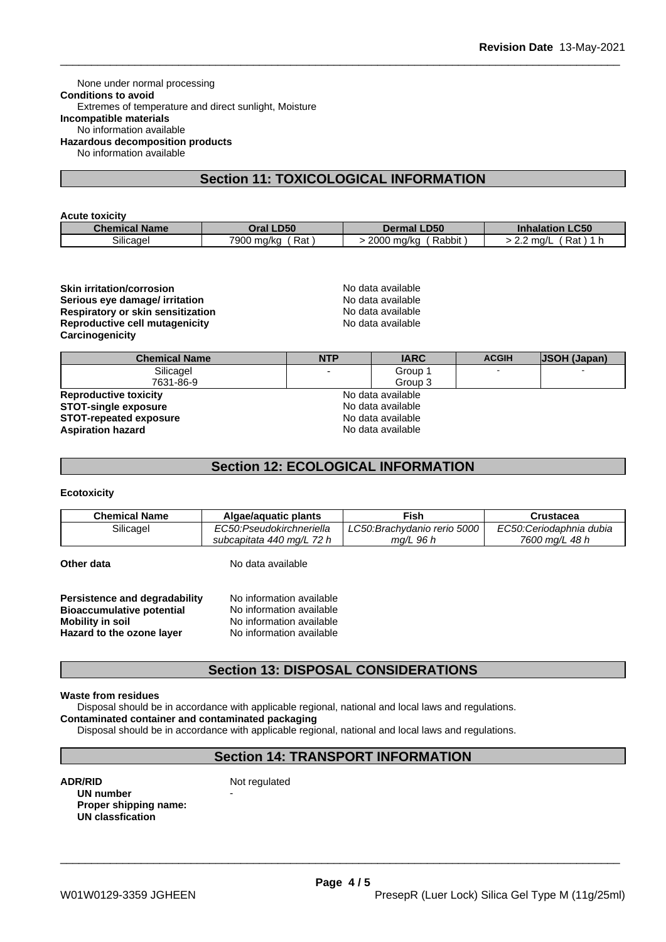None under normal processing **Conditions to avoid** Extremes of temperature and direct sunlight, Moisture **Incompatible materials** No information available **Hazardous decomposition products** No information available

# **Section 11: TOXICOLOGICAL INFORMATION**

## **Acute toxicity**

| <b>Chemical Name</b> | <b>LD50</b>          | <b>.D50</b>              | <b>LC50</b>                    |
|----------------------|----------------------|--------------------------|--------------------------------|
|                      | Oral I               | Dermal .                 | <b>Inhalation</b>              |
| $\sim$<br>Silicadel  | 7900<br>Rat<br>ma/ka | 2000<br>Rabbit<br>⊦ma/ka | ∔∼ים<br>ma/<br>٦dι<br><u>.</u> |

## **Skin irritation/corrosion**<br> **Serious eve damage/ irritation**<br> **Serious eve damage/ irritation Serious eye damage/ irritation**<br> **Respiratory or skin sensitization**<br> **Respiratory or skin sensitization Respiratory or skin sensitization**<br> **Reproductive cell mutagenicity**<br> **Reproductive cell mutagenicity**<br> **No data available Reproductive cell mutagenicity Carcinogenicity**

| <b>Chemical Name</b>                               | <b>NTP</b> | <b>IARC</b>       | <b>ACGIH</b> | <b>JSOH (Japan)</b> |
|----------------------------------------------------|------------|-------------------|--------------|---------------------|
| Silicagel                                          | -          | Group 1           |              |                     |
| 7631-86-9                                          |            | Group 3           |              |                     |
| <b>Reproductive toxicity</b>                       |            | No data available |              |                     |
| No data available<br><b>STOT-single exposure</b>   |            |                   |              |                     |
| No data available<br><b>STOT-repeated exposure</b> |            |                   |              |                     |
| <b>Aspiration hazard</b>                           |            | No data available |              |                     |

# **Section 12: ECOLOGICAL INFORMATION**

## **Ecotoxicity**

| <b>Chemical Name</b> | Algae/aguatic plants           | ™ish                        | Crustacea               |
|----------------------|--------------------------------|-----------------------------|-------------------------|
| Silicagel            | EC50:Pseudokirchneriella       | LC50:Brachydanio rerio 5000 | EC50:Ceriodaphnia dubia |
|                      | . 72 h<br>subcapitata 440 mg/L | ma/L 96 h                   | 7600 ma/L 48 h          |

**Other data** No data available

| Persistence and degradability    | No information available |
|----------------------------------|--------------------------|
| <b>Bioaccumulative potential</b> | No information available |
| <b>Mobility in soil</b>          | No information available |
| Hazard to the ozone layer        | No information available |

# **Section 13: DISPOSAL CONSIDERATIONS**

## **Waste from residues**

Disposal should be in accordance with applicable regional, national and local laws and regulations.

**Contaminated container and contaminated packaging**

Disposal should be in accordance with applicable regional, national and local laws and regulations.

# **Section 14: TRANSPORT INFORMATION**

**ADR/RID** Not regulated

**UN number Proper shipping name: UN classfication**